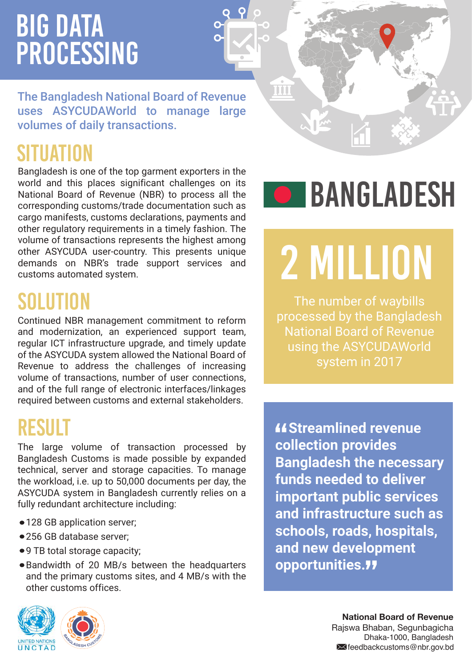# **BIG DATA** Processing

The Bangladesh National Board of Revenue uses ASYCUDAWorld to manage large volumes of daily transactions.

### SITUATIO

Bangladesh is one of the top garment exporters in the world and this places significant challenges on its National Board of Revenue (NBR) to process all the corresponding customs/trade documentation such as cargo manifests, customs declarations, payments and other regulatory requirements in a timely fashion. The volume of transactions represents the highest among other ASYCUDA user-country. This presents unique demands on NBR's trade support services and customs automated system.

#### SOLUTION

Continued NBR management commitment to reform and modernization, an experienced support team, regular ICT infrastructure upgrade, and timely update of the ASYCUDA system allowed the National Board of Revenue to address the challenges of increasing volume of transactions, number of user connections, and of the full range of electronic interfaces/linkages required between customs and external stakeholders.

#### **RESULT**

The large volume of transaction processed by Bangladesh Customs is made possible by expanded technical, server and storage capacities. To manage the workload, i.e. up to 50,000 documents per day, the ASYCUDA system in Bangladesh currently relies on a fully redundant architecture including:

- 128 GB application server;
- 256 GB database server;
- 9 TB total storage capacity;
- Bandwidth of 20 MB/s between the headquarters and the primary customs sites, and 4 MB/s with the other customs offices.





TÜU

# 2 million

The number of waybills processed by the Bangladesh National Board of Revenue using the ASYCUDAWorld system in 2017

*<u>AStreamlined</u>* revenue **"** Streamlined rever **Bangladesh the necessary funds needed to deliver important public services and infrastructure such as schools, roads, hospitals, and new development opportunities.** "

> **National Board of Revenue**  Rajswa Bhaban, Segunbagicha Dhaka-1000, Bangladesh **X**feedbackcustoms@nbr.gov.bd